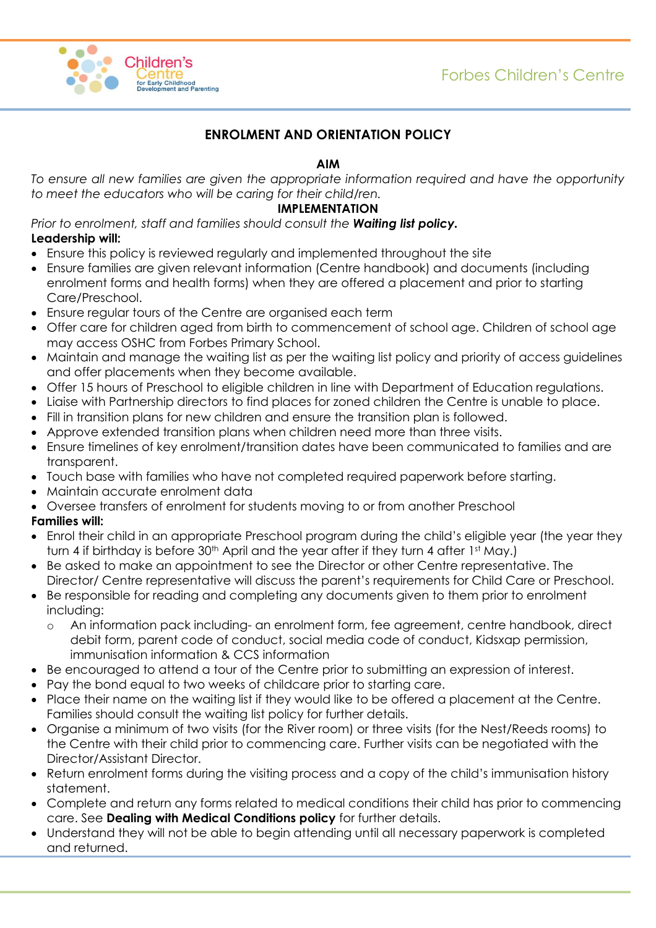

# **ENROLMENT AND ORIENTATION POLICY**

## **AIM**

*To ensure all new families are given the appropriate information required and have the opportunity to meet the educators who will be caring for their child/ren.*

#### **IMPLEMENTATION**

*Prior to enrolment, staff and families should consult the Waiting list policy.* **Leadership will:**

- Ensure this policy is reviewed regularly and implemented throughout the site
- Ensure families are given relevant information (Centre handbook) and documents (including enrolment forms and health forms) when they are offered a placement and prior to starting Care/Preschool.
- Ensure regular tours of the Centre are organised each term
- Offer care for children aged from birth to commencement of school age. Children of school age may access OSHC from Forbes Primary School.
- Maintain and manage the waiting list as per the waiting list policy and priority of access guidelines and offer placements when they become available.
- Offer 15 hours of Preschool to eligible children in line with Department of Education regulations.
- Liaise with Partnership directors to find places for zoned children the Centre is unable to place.
- Fill in transition plans for new children and ensure the transition plan is followed.
- Approve extended transition plans when children need more than three visits.
- Ensure timelines of key enrolment/transition dates have been communicated to families and are transparent.
- Touch base with families who have not completed required paperwork before starting.
- Maintain accurate enrolment data
- Oversee transfers of enrolment for students moving to or from another Preschool

#### **Families will:**

- Enrol their child in an appropriate Preschool program during the child's eligible year (the year they turn 4 if birthday is before 30<sup>th</sup> April and the year after if they turn 4 after 1st May.)
- Be asked to make an appointment to see the Director or other Centre representative. The Director/ Centre representative will discuss the parent's requirements for Child Care or Preschool.
- Be responsible for reading and completing any documents given to them prior to enrolment including:
	- o An information pack including- an enrolment form, fee agreement, centre handbook, direct debit form, parent code of conduct, social media code of conduct, Kidsxap permission, immunisation information & CCS information
- Be encouraged to attend a tour of the Centre prior to submitting an expression of interest.
- Pay the bond equal to two weeks of childcare prior to starting care.
- Place their name on the waiting list if they would like to be offered a placement at the Centre. Families should consult the waiting list policy for further details.
- Organise a minimum of two visits (for the River room) or three visits (for the Nest/Reeds rooms) to the Centre with their child prior to commencing care. Further visits can be negotiated with the Director/Assistant Director.
- Return enrolment forms during the visiting process and a copy of the child's immunisation history statement.
- Complete and return any forms related to medical conditions their child has prior to commencing care. See **Dealing with Medical Conditions policy** for further details.
- Understand they will not be able to begin attending until all necessary paperwork is completed and returned.